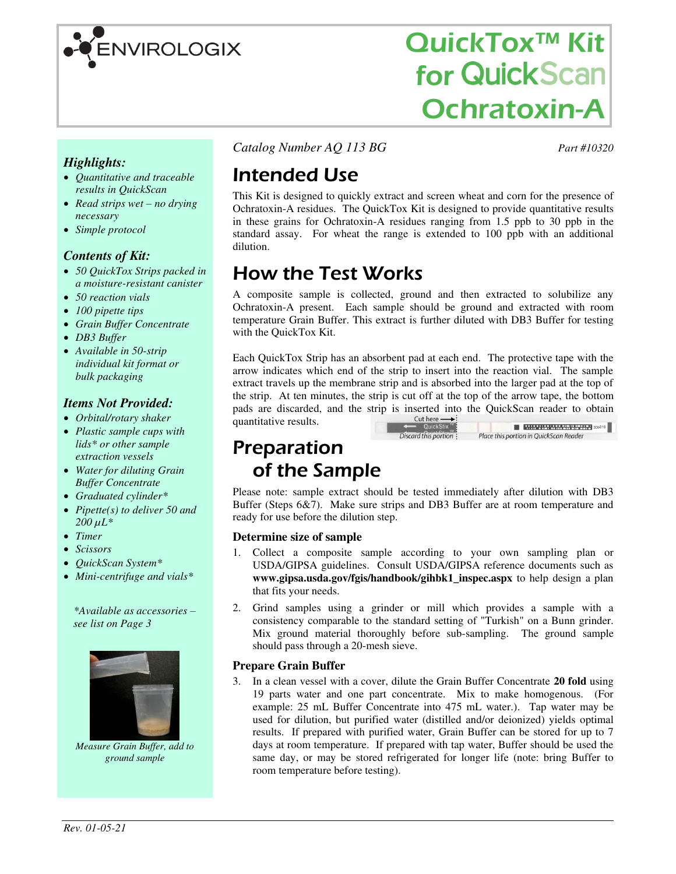

# QuickTox™ Kit **for QuickScan** Ochratoxin-A

Place this portion in QuickScan Reader

*Highlights:* 

- *Quantitative and traceable results in QuickScan*
- *Read strips wet no drying necessary*
- *Simple protocol*

#### *Contents of Kit:*

- *50 QuickTox Strips packed in a moisture-resistant canister*
- *50 reaction vials*
- *100 pipette tips*
- *Grain Buffer Concentrate*
- *DB3 Buffer*
- *Available in 50-strip individual kit format or bulk packaging*

#### *Items Not Provided:*

- *Orbital/rotary shaker*
- *Plastic sample cups with lids\* or other sample extraction vessels*
- *Water for diluting Grain Buffer Concentrate*
- *Graduated cylinder\**
- *Pipette(s) to deliver 50 and*   $200 \,\mu L^*$
- *Timer*
- *Scissors*
- *QuickScan System\**
- *Mini-centrifuge and vials\**

*\*Available as accessories – see list on Page 3* 



*Measure Grain Buffer, add to ground sample* 

*Catalog Number AQ 113 BG Part #10320*

# Intended Use

This Kit is designed to quickly extract and screen wheat and corn for the presence of Ochratoxin-A residues. The QuickTox Kit is designed to provide quantitative results in these grains for Ochratoxin-A residues ranging from 1.5 ppb to 30 ppb in the standard assay. For wheat the range is extended to 100 ppb with an additional dilution.

### How the Test Works

A composite sample is collected, ground and then extracted to solubilize any Ochratoxin-A present. Each sample should be ground and extracted with room temperature Grain Buffer. This extract is further diluted with DB3 Buffer for testing with the QuickTox Kit.

Each QuickTox Strip has an absorbent pad at each end. The protective tape with the arrow indicates which end of the strip to insert into the reaction vial. The sample extract travels up the membrane strip and is absorbed into the larger pad at the top of the strip. At ten minutes, the strip is cut off at the top of the arrow tape, the bottom pads are discarded, and the strip is inserted into the QuickScan reader to obtain quantitative results quantitative results.  $\blacksquare$  **MEMPHYSION LEWISE** XX<sup>018</sup>

Discard this portion:

### Preparation of the Sample

Please note: sample extract should be tested immediately after dilution with DB3 Buffer (Steps 6&7). Make sure strips and DB3 Buffer are at room temperature and ready for use before the dilution step.

#### **Determine size of sample**

- 1. Collect a composite sample according to your own sampling plan or USDA/GIPSA guidelines. Consult USDA/GIPSA reference documents such as **www.gipsa.usda.gov/fgis/handbook/gihbk1\_inspec.aspx** to help design a plan that fits your needs.
- 2. Grind samples using a grinder or mill which provides a sample with a consistency comparable to the standard setting of "Turkish" on a Bunn grinder. Mix ground material thoroughly before sub-sampling. The ground sample should pass through a 20-mesh sieve.

#### **Prepare Grain Buffer**

3. In a clean vessel with a cover, dilute the Grain Buffer Concentrate **20 fold** using 19 parts water and one part concentrate. Mix to make homogenous. (For example: 25 mL Buffer Concentrate into 475 mL water.). Tap water may be used for dilution, but purified water (distilled and/or deionized) yields optimal results. If prepared with purified water, Grain Buffer can be stored for up to 7 days at room temperature. If prepared with tap water, Buffer should be used the same day, or may be stored refrigerated for longer life (note: bring Buffer to room temperature before testing).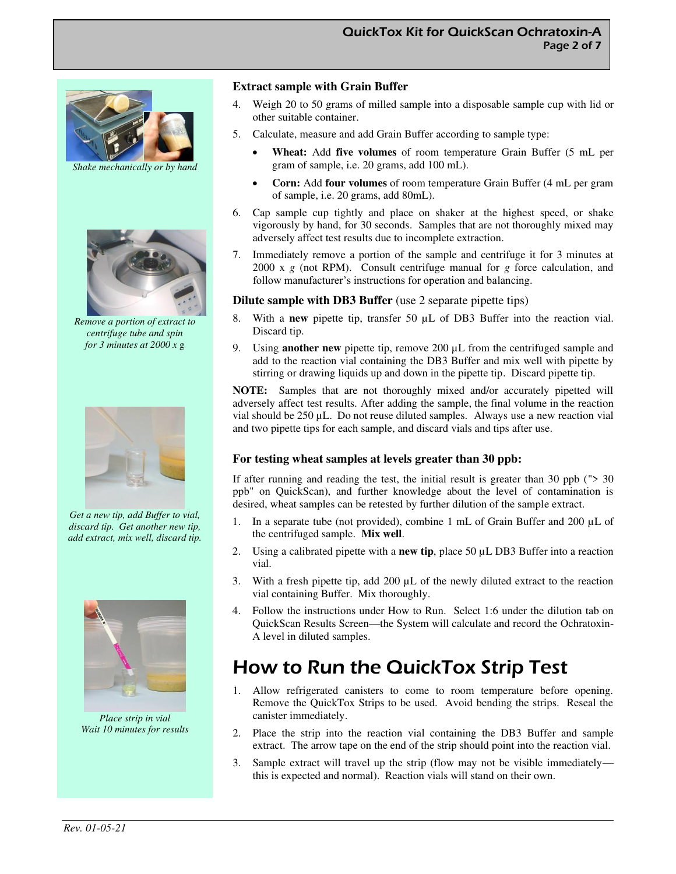

*Shake mechanically or by hand* 



*Remove a portion of extract to centrifuge tube and spin for 3 minutes at 2000 x* g



*Get a new tip, add Buffer to vial, discard tip. Get another new tip, add extract, mix well, discard tip.* 



*Place strip in vial Wait 10 minutes for results* 

#### **Extract sample with Grain Buffer**

- Weigh 20 to 50 grams of milled sample into a disposable sample cup with lid or other suitable container.
- 5. Calculate, measure and add Grain Buffer according to sample type:
	- **Wheat:** Add **five volumes** of room temperature Grain Buffer (5 mL per gram of sample, i.e. 20 grams, add 100 mL).
	- **Corn:** Add **four volumes** of room temperature Grain Buffer (4 mL per gram of sample, i.e. 20 grams, add 80mL).
- 6. Cap sample cup tightly and place on shaker at the highest speed, or shake vigorously by hand, for 30 seconds. Samples that are not thoroughly mixed may adversely affect test results due to incomplete extraction.
- 7. Immediately remove a portion of the sample and centrifuge it for 3 minutes at 2000 x *g* (not RPM). Consult centrifuge manual for *g* force calculation, and follow manufacturer's instructions for operation and balancing.

#### **Dilute sample with DB3 Buffer** (use 2 separate pipette tips)

- 8. With a **new** pipette tip, transfer 50 µL of DB3 Buffer into the reaction vial. Discard tip.
- 9. Using **another new** pipette tip, remove 200 µL from the centrifuged sample and add to the reaction vial containing the DB3 Buffer and mix well with pipette by stirring or drawing liquids up and down in the pipette tip. Discard pipette tip.

**NOTE:** Samples that are not thoroughly mixed and/or accurately pipetted will adversely affect test results. After adding the sample, the final volume in the reaction vial should be 250 µL. Do not reuse diluted samples. Always use a new reaction vial and two pipette tips for each sample, and discard vials and tips after use.

#### **For testing wheat samples at levels greater than 30 ppb:**

If after running and reading the test, the initial result is greater than 30 ppb ("> 30 ppb" on QuickScan), and further knowledge about the level of contamination is desired, wheat samples can be retested by further dilution of the sample extract.

- 1. In a separate tube (not provided), combine 1 mL of Grain Buffer and 200  $\mu$ L of the centrifuged sample. **Mix well**.
- 2. Using a calibrated pipette with a **new tip**, place 50 µL DB3 Buffer into a reaction vial.
- 3. With a fresh pipette tip, add  $200 \mu L$  of the newly diluted extract to the reaction vial containing Buffer. Mix thoroughly.
- 4. Follow the instructions under How to Run. Select 1:6 under the dilution tab on QuickScan Results Screen—the System will calculate and record the Ochratoxin-A level in diluted samples.

### How to Run the QuickTox Strip Test

- 1. Allow refrigerated canisters to come to room temperature before opening. Remove the QuickTox Strips to be used. Avoid bending the strips. Reseal the canister immediately.
- 2. Place the strip into the reaction vial containing the DB3 Buffer and sample extract. The arrow tape on the end of the strip should point into the reaction vial.
- 3. Sample extract will travel up the strip (flow may not be visible immediately this is expected and normal). Reaction vials will stand on their own.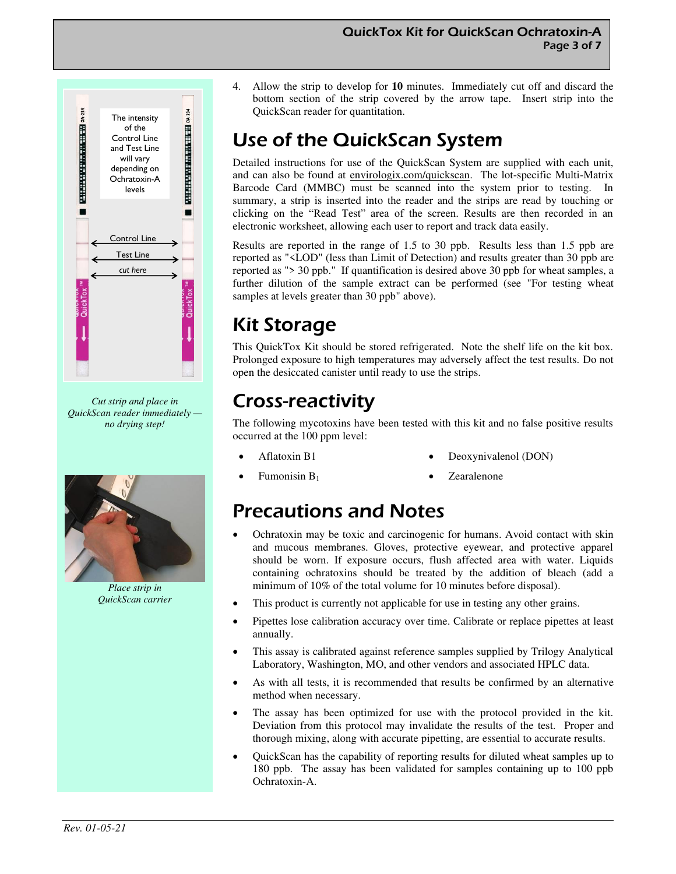

*Cut strip and place in QuickScan reader immediately no drying step!* 



*Place strip in QuickScan carrier* 

- QuickTox Kit for QuickScan Ochratoxin-A Page 3 of 7
- 4. Allow the strip to develop for **10** minutes. Immediately cut off and discard the bottom section of the strip covered by the arrow tape. Insert strip into the QuickScan reader for quantitation.

# Use of the QuickScan System

Detailed instructions for use of the QuickScan System are supplied with each unit, and can also be found at envirologix.com/quickscan. The lot-specific Multi-Matrix Barcode Card (MMBC) must be scanned into the system prior to testing. In summary, a strip is inserted into the reader and the strips are read by touching or clicking on the "Read Test" area of the screen. Results are then recorded in an electronic worksheet, allowing each user to report and track data easily.

Results are reported in the range of 1.5 to 30 ppb. Results less than 1.5 ppb are reported as "<LOD" (less than Limit of Detection) and results greater than 30 ppb are reported as "> 30 ppb." If quantification is desired above 30 ppb for wheat samples, a further dilution of the sample extract can be performed (see "For testing wheat samples at levels greater than 30 ppb" above).

# Kit Storage

This QuickTox Kit should be stored refrigerated. Note the shelf life on the kit box. Prolonged exposure to high temperatures may adversely affect the test results. Do not open the desiccated canister until ready to use the strips.

# Cross-reactivity

The following mycotoxins have been tested with this kit and no false positive results occurred at the 100 ppm level:

• Aflatoxin B1

- Deoxynivalenol (DON)
- Fumonisin B<sup>1</sup>
- Zearalenone

### Precautions and Notes

- Ochratoxin may be toxic and carcinogenic for humans. Avoid contact with skin and mucous membranes. Gloves, protective eyewear, and protective apparel should be worn. If exposure occurs, flush affected area with water. Liquids containing ochratoxins should be treated by the addition of bleach (add a minimum of 10% of the total volume for 10 minutes before disposal).
- This product is currently not applicable for use in testing any other grains.
- Pipettes lose calibration accuracy over time. Calibrate or replace pipettes at least annually.
- This assay is calibrated against reference samples supplied by Trilogy Analytical Laboratory, Washington, MO, and other vendors and associated HPLC data.
- As with all tests, it is recommended that results be confirmed by an alternative method when necessary.
- The assay has been optimized for use with the protocol provided in the kit. Deviation from this protocol may invalidate the results of the test. Proper and thorough mixing, along with accurate pipetting, are essential to accurate results.
- QuickScan has the capability of reporting results for diluted wheat samples up to 180 ppb. The assay has been validated for samples containing up to 100 ppb Ochratoxin-A.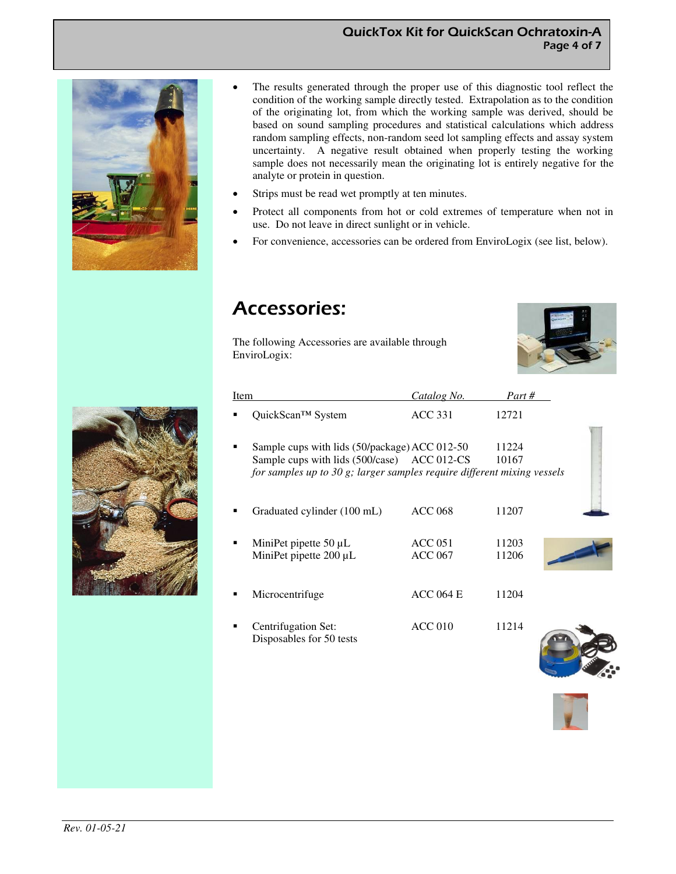



- The results generated through the proper use of this diagnostic tool reflect the condition of the working sample directly tested. Extrapolation as to the condition of the originating lot, from which the working sample was derived, should be based on sound sampling procedures and statistical calculations which address random sampling effects, non-random seed lot sampling effects and assay system uncertainty. A negative result obtained when properly testing the working sample does not necessarily mean the originating lot is entirely negative for the analyte or protein in question.
- Strips must be read wet promptly at ten minutes.
- Protect all components from hot or cold extremes of temperature when not in use. Do not leave in direct sunlight or in vehicle.
- For convenience, accessories can be ordered from EnviroLogix (see list, below).

### Accessories:

The following Accessories are available through EnviroLogix:





| Item |                                                                         | Catalog No.        | Part # |  |
|------|-------------------------------------------------------------------------|--------------------|--------|--|
|      | QuickScan™ System                                                       | <b>ACC 331</b>     | 12721  |  |
|      |                                                                         |                    |        |  |
|      | Sample cups with lids (50/package) ACC 012-50                           |                    | 11224  |  |
|      | Sample cups with lids (500/case) ACC 012-CS                             |                    | 10167  |  |
|      | for samples up to 30 g; larger samples require different mixing vessels |                    |        |  |
|      | Graduated cylinder (100 mL)                                             | <b>ACC 068</b>     | 11207  |  |
|      | MiniPet pipette $50 \mu L$                                              | ACC <sub>051</sub> | 11203  |  |
|      | MiniPet pipette 200 µL                                                  | <b>ACC 067</b>     | 11206  |  |
|      |                                                                         |                    |        |  |
|      | Microcentrifuge                                                         | <b>ACC 064 E</b>   | 11204  |  |
|      | Centrifugation Set:<br>Disposables for 50 tests                         | ACC <sub>010</sub> | 11214  |  |
|      |                                                                         |                    |        |  |

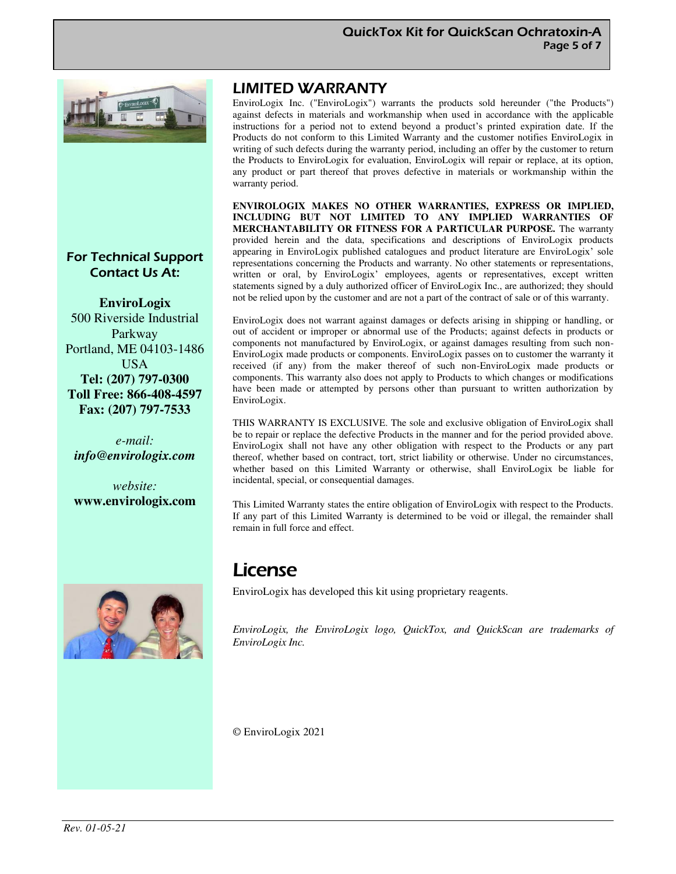

### For Technical Support Contact Us At:

**EnviroLogix**  500 Riverside Industrial Parkway Portland, ME 04103-1486 USA **Tel: (207) 797-0300 Toll Free: 866-408-4597 Fax: (207) 797-7533** 

*e-mail: info@envirologix.com*

*website:*  **www.envirologix.com** 



### LIMITED WARRANTY

EnviroLogix Inc. ("EnviroLogix") warrants the products sold hereunder ("the Products") against defects in materials and workmanship when used in accordance with the applicable instructions for a period not to extend beyond a product's printed expiration date. If the Products do not conform to this Limited Warranty and the customer notifies EnviroLogix in writing of such defects during the warranty period, including an offer by the customer to return the Products to EnviroLogix for evaluation, EnviroLogix will repair or replace, at its option, any product or part thereof that proves defective in materials or workmanship within the warranty period.

**ENVIROLOGIX MAKES NO OTHER WARRANTIES, EXPRESS OR IMPLIED, INCLUDING BUT NOT LIMITED TO ANY IMPLIED WARRANTIES OF MERCHANTABILITY OR FITNESS FOR A PARTICULAR PURPOSE.** The warranty provided herein and the data, specifications and descriptions of EnviroLogix products appearing in EnviroLogix published catalogues and product literature are EnviroLogix' sole representations concerning the Products and warranty. No other statements or representations, written or oral, by EnviroLogix' employees, agents or representatives, except written statements signed by a duly authorized officer of EnviroLogix Inc., are authorized; they should not be relied upon by the customer and are not a part of the contract of sale or of this warranty.

EnviroLogix does not warrant against damages or defects arising in shipping or handling, or out of accident or improper or abnormal use of the Products; against defects in products or components not manufactured by EnviroLogix, or against damages resulting from such non-EnviroLogix made products or components. EnviroLogix passes on to customer the warranty it received (if any) from the maker thereof of such non-EnviroLogix made products or components. This warranty also does not apply to Products to which changes or modifications have been made or attempted by persons other than pursuant to written authorization by EnviroLogix.

THIS WARRANTY IS EXCLUSIVE. The sole and exclusive obligation of EnviroLogix shall be to repair or replace the defective Products in the manner and for the period provided above. EnviroLogix shall not have any other obligation with respect to the Products or any part thereof, whether based on contract, tort, strict liability or otherwise. Under no circumstances, whether based on this Limited Warranty or otherwise, shall EnviroLogix be liable for incidental, special, or consequential damages.

This Limited Warranty states the entire obligation of EnviroLogix with respect to the Products. If any part of this Limited Warranty is determined to be void or illegal, the remainder shall remain in full force and effect.

### License

EnviroLogix has developed this kit using proprietary reagents.

*EnviroLogix, the EnviroLogix logo, QuickTox, and QuickScan are trademarks of EnviroLogix Inc.* 

© EnviroLogix 2021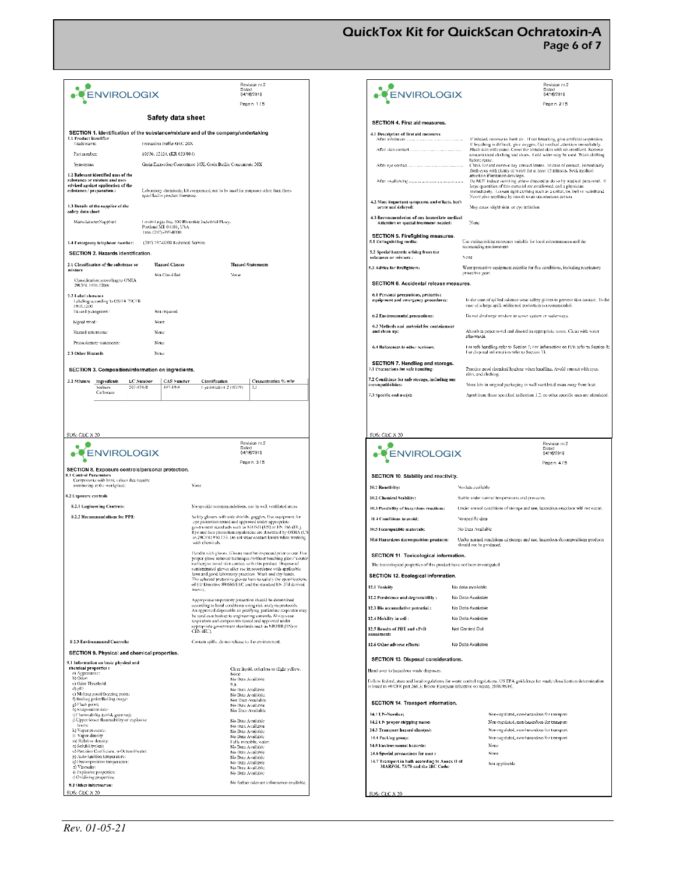QuickTox Kit for QuickScan Ochratoxin-A Page 6 of 7

| <b>ENVIROLOGIX</b>                                                                                                                                                                                                                                                              |                                                | Dated                                                                                                                                                                                                                                                                            | Revision nr.2<br>04/16/2019                                                                                                                             | ENVIROLOGIX                                                                                                                                                                                                                                                                                                                 | Revision nr.2<br>Dated<br>04/16/2019                                                                                                                                                                                                                                                                                                              |
|---------------------------------------------------------------------------------------------------------------------------------------------------------------------------------------------------------------------------------------------------------------------------------|------------------------------------------------|----------------------------------------------------------------------------------------------------------------------------------------------------------------------------------------------------------------------------------------------------------------------------------|---------------------------------------------------------------------------------------------------------------------------------------------------------|-----------------------------------------------------------------------------------------------------------------------------------------------------------------------------------------------------------------------------------------------------------------------------------------------------------------------------|---------------------------------------------------------------------------------------------------------------------------------------------------------------------------------------------------------------------------------------------------------------------------------------------------------------------------------------------------|
|                                                                                                                                                                                                                                                                                 | <b>Safety data sheet</b>                       |                                                                                                                                                                                                                                                                                  | Page n. 1/5                                                                                                                                             |                                                                                                                                                                                                                                                                                                                             | Page n. 2/5                                                                                                                                                                                                                                                                                                                                       |
|                                                                                                                                                                                                                                                                                 |                                                |                                                                                                                                                                                                                                                                                  |                                                                                                                                                         | SECTION 4. First aid measures.                                                                                                                                                                                                                                                                                              |                                                                                                                                                                                                                                                                                                                                                   |
| SECTION 1. Identification of the substance/mixture and of the company/undertaking<br>1.1 Product identifier                                                                                                                                                                     |                                                |                                                                                                                                                                                                                                                                                  |                                                                                                                                                         | 4.1 Description of first aid measures<br>After inhalation                                                                                                                                                                                                                                                                   | If inhaled, remove to fresh air. If not breathing, give artificial respiration.                                                                                                                                                                                                                                                                   |
| Trade name                                                                                                                                                                                                                                                                      | Extraction Buffer GEC 20X                      |                                                                                                                                                                                                                                                                                  |                                                                                                                                                         |                                                                                                                                                                                                                                                                                                                             | If breathing is difficult, give oxygen, Get medical attention immediately.                                                                                                                                                                                                                                                                        |
| Part number:                                                                                                                                                                                                                                                                    | 10556, 12124, (KR 033/004)                     |                                                                                                                                                                                                                                                                                  |                                                                                                                                                         |                                                                                                                                                                                                                                                                                                                             | Flush skin with water. Cover the irritated skin with an emollient. Remove<br>contaminated clothing and shoes. Cold water may be used. Wash clothing                                                                                                                                                                                               |
| Synonyms.                                                                                                                                                                                                                                                                       |                                                | Grain Extraction Concentrate 20X; Grain Buffer Concentrate 20X                                                                                                                                                                                                                   |                                                                                                                                                         |                                                                                                                                                                                                                                                                                                                             | before reuse.<br>Check for and remove any contact lenses. In case of contact, immediately                                                                                                                                                                                                                                                         |
|                                                                                                                                                                                                                                                                                 |                                                |                                                                                                                                                                                                                                                                                  |                                                                                                                                                         |                                                                                                                                                                                                                                                                                                                             | flush eyes with plenty of water for at least 15 minutes. Seek medical                                                                                                                                                                                                                                                                             |
| 1.2 Relevant identified uses of the<br>substance or mixture and uses<br>advised against application of the<br>Laboratory chemicals; kit component; not to be used for purposes other than those<br>substance / preparation :<br>soccified in product literature.                |                                                |                                                                                                                                                                                                                                                                                  |                                                                                                                                                         | attention if irritation develops.<br>Do NOT induce variiting unless directed to do so by medical personnel. I<br>large quantities of this material are swallowed, call a physician<br>immediately. Loosen tight clothing such as a collar, tie, belt or waistband<br>Never give anything by mouth to an unconscious person. |                                                                                                                                                                                                                                                                                                                                                   |
| 1.3 Details of the supplier of the<br>safety data sheet                                                                                                                                                                                                                         |                                                |                                                                                                                                                                                                                                                                                  |                                                                                                                                                         | 4.2 Most important symptoms and effects, both<br>acute and delayed:                                                                                                                                                                                                                                                         | May cause slight skin or cyc irritation                                                                                                                                                                                                                                                                                                           |
| Manufacturer/Supplier:                                                                                                                                                                                                                                                          | Portland ME 04103, USA<br>Tele: (207)-797-4300 | EnviroLogix Inc. 500 Riverside Industrial Pkwy.                                                                                                                                                                                                                                  |                                                                                                                                                         | 4.3 Recommendation of any immediate medical<br>Attention or special treatment needed:                                                                                                                                                                                                                                       | None                                                                                                                                                                                                                                                                                                                                              |
| 1.4 Emergency telephone number:                                                                                                                                                                                                                                                 | (207) 797-0300 Feehnical Service               |                                                                                                                                                                                                                                                                                  |                                                                                                                                                         | SECTION 5. Firefighting measures.<br>5.1 Extinguishing media:                                                                                                                                                                                                                                                               | Use extinguishing measures suitable for local circumstances and the                                                                                                                                                                                                                                                                               |
|                                                                                                                                                                                                                                                                                 |                                                |                                                                                                                                                                                                                                                                                  |                                                                                                                                                         |                                                                                                                                                                                                                                                                                                                             | surrounding environment                                                                                                                                                                                                                                                                                                                           |
| SECTION 2. Hazards identification.                                                                                                                                                                                                                                              |                                                |                                                                                                                                                                                                                                                                                  |                                                                                                                                                         | 5.2 Special hazards arising from the<br>substance or mixture :                                                                                                                                                                                                                                                              | None                                                                                                                                                                                                                                                                                                                                              |
| 2.1 Classification of the substance or                                                                                                                                                                                                                                          | <b>Hazard Classes</b>                          |                                                                                                                                                                                                                                                                                  | <b>Hazard Statements</b>                                                                                                                                | 5.3 Advice for firefighters:                                                                                                                                                                                                                                                                                                | Wear protective equipment suitable for fire conditions, including respiratory                                                                                                                                                                                                                                                                     |
| mixture                                                                                                                                                                                                                                                                         | Not Classified                                 | None                                                                                                                                                                                                                                                                             |                                                                                                                                                         |                                                                                                                                                                                                                                                                                                                             | protective gear.                                                                                                                                                                                                                                                                                                                                  |
| Classification according to OSHA<br>29CFR 1910.12006                                                                                                                                                                                                                            |                                                |                                                                                                                                                                                                                                                                                  |                                                                                                                                                         | SECTION 6. Accidental release measures.                                                                                                                                                                                                                                                                                     |                                                                                                                                                                                                                                                                                                                                                   |
| 2.2 Label elements<br>Labeling according to OSHA 29CFR<br>1910.1200                                                                                                                                                                                                             |                                                |                                                                                                                                                                                                                                                                                  |                                                                                                                                                         | 6.1 Personal precautions, protective<br>equipment and emergency procedures:                                                                                                                                                                                                                                                 | In the case of spilled mixture wear safety gloves to prevent skin contact. In t<br>case of a large spill, additional protection is recommended.                                                                                                                                                                                                   |
| Hazard pictograms:                                                                                                                                                                                                                                                              | Not required                                   |                                                                                                                                                                                                                                                                                  |                                                                                                                                                         | 6.2 Environmental precautions:                                                                                                                                                                                                                                                                                              | Do not discharge mixture to sewer system or waterways.                                                                                                                                                                                                                                                                                            |
| Signal word:                                                                                                                                                                                                                                                                    | None                                           |                                                                                                                                                                                                                                                                                  |                                                                                                                                                         | 6.3 Methods and material for containment                                                                                                                                                                                                                                                                                    |                                                                                                                                                                                                                                                                                                                                                   |
| Hazard statements                                                                                                                                                                                                                                                               | None                                           |                                                                                                                                                                                                                                                                                  |                                                                                                                                                         | and clean up:                                                                                                                                                                                                                                                                                                               | Absorb in paper towel and diseard in appropriate waste. Clean with water<br>afterwards                                                                                                                                                                                                                                                            |
| Procautionary statements:                                                                                                                                                                                                                                                       | Nenc                                           |                                                                                                                                                                                                                                                                                  |                                                                                                                                                         | 6.4 References to other sections:                                                                                                                                                                                                                                                                                           | For safe handling refer to Section 7; For information on PPE refer to Section                                                                                                                                                                                                                                                                     |
| 2.3 Other Hazards                                                                                                                                                                                                                                                               | Nene                                           |                                                                                                                                                                                                                                                                                  |                                                                                                                                                         |                                                                                                                                                                                                                                                                                                                             | For disposal information refer to Section 13.                                                                                                                                                                                                                                                                                                     |
| SECTION 3. Composition/information on ingredients.                                                                                                                                                                                                                              |                                                |                                                                                                                                                                                                                                                                                  |                                                                                                                                                         | SECTION 7. Handling and storage.<br>7.1 Precautions for safe handling:                                                                                                                                                                                                                                                      | Practice good chemical hygiene when handling. Avoid contact with eyes.<br>skin, and clothing                                                                                                                                                                                                                                                      |
| 3.2 Mixture<br>Ingredients                                                                                                                                                                                                                                                      | <b>CAS</b> Number<br><b>EC</b> Number          | Classification                                                                                                                                                                                                                                                                   | Concentration % w/w                                                                                                                                     | 7.2 Conditions for safe storage, including any                                                                                                                                                                                                                                                                              | Store kits in original packaging in well ventilated areas away from heat.                                                                                                                                                                                                                                                                         |
| Sodium<br>207-838-8<br>Carbonate                                                                                                                                                                                                                                                | 497-19-8                                       | Eye initation 2 (11319)                                                                                                                                                                                                                                                          | 3.1                                                                                                                                                     | incompatibilities:<br>7.3 Specific end use(s):                                                                                                                                                                                                                                                                              | Apart from those specified in Section 1.2, no other specific uses are stipulate                                                                                                                                                                                                                                                                   |
|                                                                                                                                                                                                                                                                                 |                                                |                                                                                                                                                                                                                                                                                  | Revision nr.2                                                                                                                                           |                                                                                                                                                                                                                                                                                                                             | Revision nr.2                                                                                                                                                                                                                                                                                                                                     |
| <b>ENVIROLOGIX</b><br>SECTION 8. Exposure controls/personal protection.<br><b>8.1 Control Parameters</b><br>Components with limit values that require<br>monitoring at the workplace:<br>8.2 Exposure controls<br>8.2.1 Engineering Controls:<br>8.2.2 Recommendations for PPE: |                                                | Dated<br>None<br>No specific recommendations, use in well ventilated areas<br>Safety glasses with side shields, goggles, Use equipment for<br>cyc protection tested and approved under appropriate<br>government standards such as NIOSH (US) or EN 166 (EU).<br>with chemicals. | 04/16/2019<br>Page n. 3/5<br>Eye and face protection regulations are described by OSHA (US<br>in 29CFR1910.133. Do not wear contact lenses when working | ENVIROLOGIX<br>SECTION 10. Stability and reactivity.<br>10.1 Reactivity:<br>10.2 Chemical Stability:<br>10.3 Possibility of hazardous reactions:<br>10.4 Canditions to avoid:<br>10.5 Incompatible materials:<br>10.6 Hazardous deconmosition products:                                                                     | Datod<br>04/16/2019<br>Page n. 4/5<br>No data available<br>Stable under normal temperatures and pressures.<br>Under normal conditions of storage and use, hazardous reactions will not occur.<br>No specific data<br>No Data Available<br>Under normal conditions of storage and use, hazardous decompositions products<br>should not be produced |
|                                                                                                                                                                                                                                                                                 |                                                |                                                                                                                                                                                                                                                                                  | Handle with gloves. Gloves must be inspected prior to use. Use<br>proper glove removal technique (without touching glove's outer                        | SECTION 11. Toxicological information.                                                                                                                                                                                                                                                                                      |                                                                                                                                                                                                                                                                                                                                                   |
|                                                                                                                                                                                                                                                                                 |                                                | surface) to avoid skin contact with this product. Dispose of<br>contaminated gloves after use in accordance with applicable                                                                                                                                                      |                                                                                                                                                         | The toxicological properties of this product have not been investigated                                                                                                                                                                                                                                                     |                                                                                                                                                                                                                                                                                                                                                   |
|                                                                                                                                                                                                                                                                                 |                                                | laws and good taboratory practices. Wash and dry hands,                                                                                                                                                                                                                          | The selected protective gloves have to safisfy the specifications                                                                                       | SECTION 12. Ecological information.                                                                                                                                                                                                                                                                                         |                                                                                                                                                                                                                                                                                                                                                   |
|                                                                                                                                                                                                                                                                                 |                                                | of EU Directive 89/686/EEC and the standard EN 374 derived<br>fion it.                                                                                                                                                                                                           |                                                                                                                                                         | 12.1 Toxicity                                                                                                                                                                                                                                                                                                               | No data available                                                                                                                                                                                                                                                                                                                                 |
|                                                                                                                                                                                                                                                                                 |                                                |                                                                                                                                                                                                                                                                                  |                                                                                                                                                         | 12.2 Persistence and degradability:                                                                                                                                                                                                                                                                                         | No Data Available                                                                                                                                                                                                                                                                                                                                 |
|                                                                                                                                                                                                                                                                                 |                                                | Appropriate respiratory protection should be determined<br>according to local conditions using risk analysis protocols.                                                                                                                                                          |                                                                                                                                                         |                                                                                                                                                                                                                                                                                                                             |                                                                                                                                                                                                                                                                                                                                                   |
|                                                                                                                                                                                                                                                                                 |                                                | be used as a backup to engineering controls. Always use                                                                                                                                                                                                                          | An approved disposable air purifying particulate respirator may                                                                                         | 12.3 Bio accumulative potential:                                                                                                                                                                                                                                                                                            | No Data Available                                                                                                                                                                                                                                                                                                                                 |
|                                                                                                                                                                                                                                                                                 |                                                | respirators and components tested and approved under-                                                                                                                                                                                                                            |                                                                                                                                                         | 12.4 Mobility in soil:                                                                                                                                                                                                                                                                                                      | No Data Available                                                                                                                                                                                                                                                                                                                                 |
|                                                                                                                                                                                                                                                                                 |                                                | appropriate government standards such as NIOSH (US) or<br>CEN (EU).                                                                                                                                                                                                              |                                                                                                                                                         | 12.5 Results of PBT and vPvB                                                                                                                                                                                                                                                                                                | Not Carried Out                                                                                                                                                                                                                                                                                                                                   |
| 8.2.3 Environmental Controls:                                                                                                                                                                                                                                                   |                                                | Contain spills, do not release to the environment.                                                                                                                                                                                                                               |                                                                                                                                                         | assessment:<br>12.6 Other adverse effects:                                                                                                                                                                                                                                                                                  | No Data Available                                                                                                                                                                                                                                                                                                                                 |
| SECTION 9. Physical and chemical properties.                                                                                                                                                                                                                                    |                                                |                                                                                                                                                                                                                                                                                  |                                                                                                                                                         | SECTION 13. Disposal considerations.                                                                                                                                                                                                                                                                                        |                                                                                                                                                                                                                                                                                                                                                   |
| 9.1 Information on basic physical and<br>chemical properties:                                                                                                                                                                                                                   |                                                |                                                                                                                                                                                                                                                                                  |                                                                                                                                                         |                                                                                                                                                                                                                                                                                                                             |                                                                                                                                                                                                                                                                                                                                                   |
| a) Appearance:<br>b) Odor:                                                                                                                                                                                                                                                      |                                                | None                                                                                                                                                                                                                                                                             | Clear liquid, colorless to slight yellow.                                                                                                               | Hand over to hazardous waste disposers.                                                                                                                                                                                                                                                                                     |                                                                                                                                                                                                                                                                                                                                                   |
| c) Odor Threshold:                                                                                                                                                                                                                                                              |                                                | No Data Available<br>9.6                                                                                                                                                                                                                                                         |                                                                                                                                                         | is listed in 40 CFR part 261.3; follow European Directive on waste, 2008/98/EC.                                                                                                                                                                                                                                             | Follow federal, state and local regulations for waste control regulations. US EPA guidelines for waste classification determination                                                                                                                                                                                                               |
| (f) (h)<br>c) Melting point/freezing point:                                                                                                                                                                                                                                     |                                                | No Data Available<br>No Data Available.                                                                                                                                                                                                                                          |                                                                                                                                                         |                                                                                                                                                                                                                                                                                                                             |                                                                                                                                                                                                                                                                                                                                                   |
| f) Boiling point/Boiling range:                                                                                                                                                                                                                                                 |                                                | Not Data Available.                                                                                                                                                                                                                                                              |                                                                                                                                                         | SECTION 14. Transport information.                                                                                                                                                                                                                                                                                          |                                                                                                                                                                                                                                                                                                                                                   |
| g) Flash point:<br>h) Evaporation rate:                                                                                                                                                                                                                                         |                                                | No Data Available<br>Not Data Available                                                                                                                                                                                                                                          |                                                                                                                                                         |                                                                                                                                                                                                                                                                                                                             |                                                                                                                                                                                                                                                                                                                                                   |
| i) Flammability (solid, gaseous):<br>j) Upper/lower flammability or explosive                                                                                                                                                                                                   |                                                | No Data Available                                                                                                                                                                                                                                                                |                                                                                                                                                         | 14.1 UN-Number:                                                                                                                                                                                                                                                                                                             | Non-regulated, non-hazardous for transport                                                                                                                                                                                                                                                                                                        |
| limits:                                                                                                                                                                                                                                                                         |                                                | No Data Available                                                                                                                                                                                                                                                                |                                                                                                                                                         | 14.2 UN proper shipping name:                                                                                                                                                                                                                                                                                               | Non-regulated, non-hazardous for transport                                                                                                                                                                                                                                                                                                        |
| k) Vapor pressure:<br>1) Vapor density                                                                                                                                                                                                                                          |                                                | No Data Available<br>No Data Available                                                                                                                                                                                                                                           |                                                                                                                                                         | 14.3 Transport hazard class(es):<br>14.4 Packing group:                                                                                                                                                                                                                                                                     | Non-regulated, non-hazardous for transport<br>Non-regulated, non-hazardous for transport                                                                                                                                                                                                                                                          |
| m) Relative density:<br>n) Solubility(ics):                                                                                                                                                                                                                                     |                                                | No Data Available                                                                                                                                                                                                                                                                | Fully miscible, water,                                                                                                                                  | 14.5 Environmental hazards:                                                                                                                                                                                                                                                                                                 | None                                                                                                                                                                                                                                                                                                                                              |
| o) Partition Coefficient; n-Octanol/water;                                                                                                                                                                                                                                      |                                                | No Data Available                                                                                                                                                                                                                                                                |                                                                                                                                                         | 14.6 Special precautions for user:                                                                                                                                                                                                                                                                                          | None                                                                                                                                                                                                                                                                                                                                              |
| p) Auto-ignition temperature:<br>q) Decomposition temperature:                                                                                                                                                                                                                  |                                                | No Data Available<br>No Data Available                                                                                                                                                                                                                                           |                                                                                                                                                         | 14.7 Transport in bulk according to Annex II of                                                                                                                                                                                                                                                                             |                                                                                                                                                                                                                                                                                                                                                   |
| r) Viscosity:                                                                                                                                                                                                                                                                   |                                                | No Data Available.                                                                                                                                                                                                                                                               |                                                                                                                                                         | MARPOL 73/78 and the IBC Code:                                                                                                                                                                                                                                                                                              | Not applicable                                                                                                                                                                                                                                                                                                                                    |
| s) Explosive properties:<br>t) Oxidizing properties:                                                                                                                                                                                                                            |                                                | No Data Available                                                                                                                                                                                                                                                                |                                                                                                                                                         |                                                                                                                                                                                                                                                                                                                             |                                                                                                                                                                                                                                                                                                                                                   |
| 9.2 Other information:<br>SDS: GEC X 20                                                                                                                                                                                                                                         |                                                |                                                                                                                                                                                                                                                                                  | No further relevant information available.                                                                                                              | SDS: GEC X 20                                                                                                                                                                                                                                                                                                               |                                                                                                                                                                                                                                                                                                                                                   |